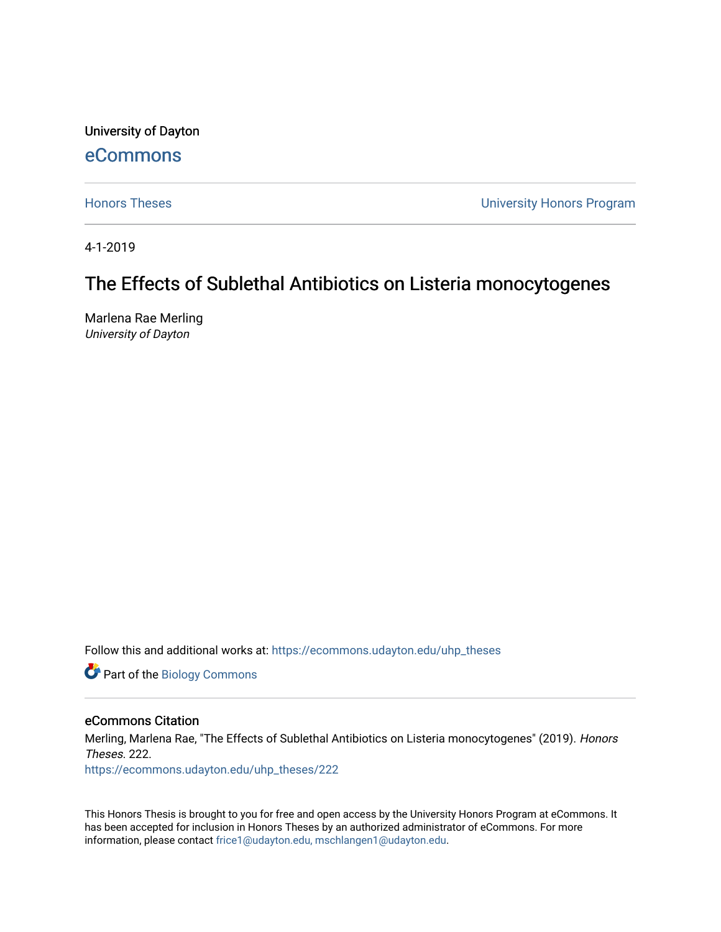University of Dayton

## [eCommons](https://ecommons.udayton.edu/)

[Honors Theses](https://ecommons.udayton.edu/uhp_theses) [University Honors Program](https://ecommons.udayton.edu/uhp) 

4-1-2019

# The Effects of Sublethal Antibiotics on Listeria monocytogenes

Marlena Rae Merling University of Dayton

Follow this and additional works at: [https://ecommons.udayton.edu/uhp\\_theses](https://ecommons.udayton.edu/uhp_theses?utm_source=ecommons.udayton.edu%2Fuhp_theses%2F222&utm_medium=PDF&utm_campaign=PDFCoverPages) 

Part of the [Biology Commons](http://network.bepress.com/hgg/discipline/41?utm_source=ecommons.udayton.edu%2Fuhp_theses%2F222&utm_medium=PDF&utm_campaign=PDFCoverPages) 

#### eCommons Citation

Merling, Marlena Rae, "The Effects of Sublethal Antibiotics on Listeria monocytogenes" (2019). Honors Theses. 222.

[https://ecommons.udayton.edu/uhp\\_theses/222](https://ecommons.udayton.edu/uhp_theses/222?utm_source=ecommons.udayton.edu%2Fuhp_theses%2F222&utm_medium=PDF&utm_campaign=PDFCoverPages) 

This Honors Thesis is brought to you for free and open access by the University Honors Program at eCommons. It has been accepted for inclusion in Honors Theses by an authorized administrator of eCommons. For more information, please contact [frice1@udayton.edu, mschlangen1@udayton.edu](mailto:frice1@udayton.edu,%20mschlangen1@udayton.edu).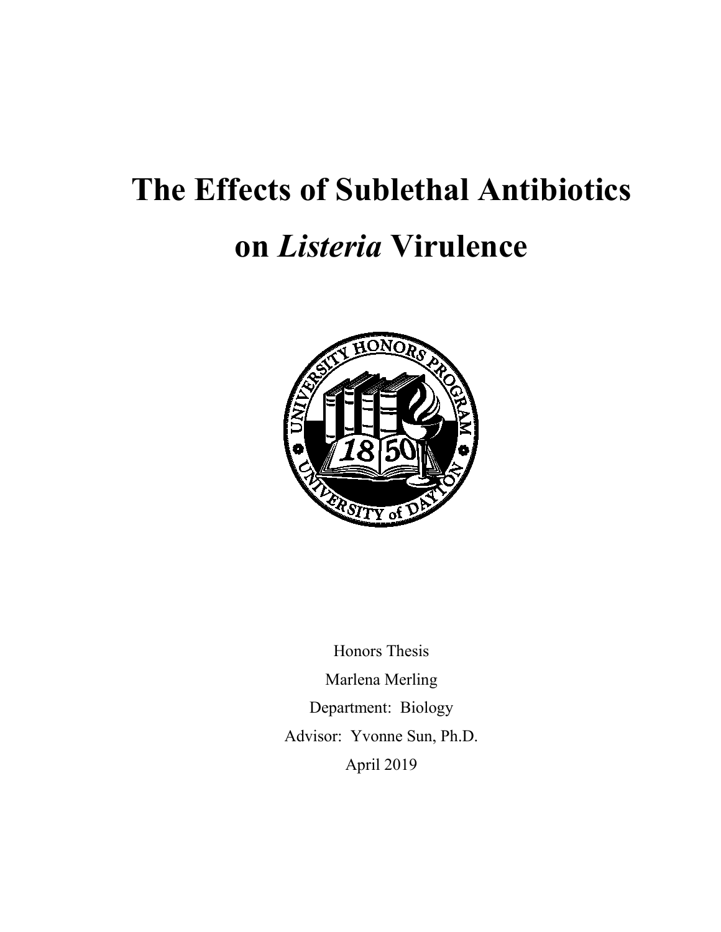# **The Effects of Sublethal Antibiotics**

# **on** *Listeria* **Virulence**



Honors Thesis Marlena Merling Department: Biology Advisor: Yvonne Sun, Ph.D. April 2019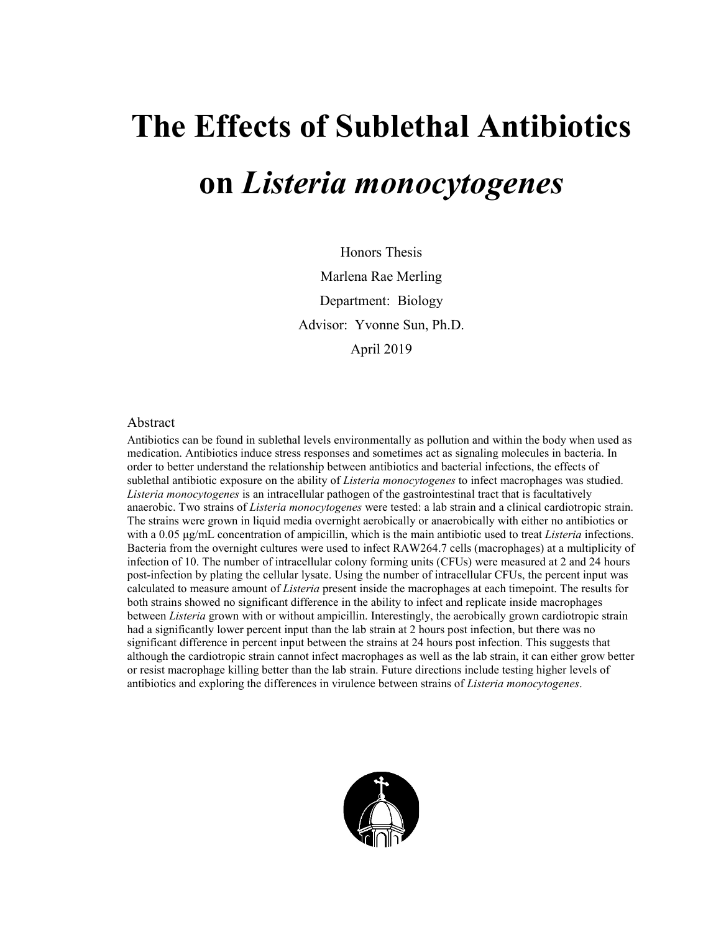# **The Effects of Sublethal Antibiotics on** *Listeria monocytogenes*

Honors Thesis Marlena Rae Merling Department: Biology Advisor: Yvonne Sun, Ph.D. April 2019

#### Abstract

Antibiotics can be found in sublethal levels environmentally as pollution and within the body when used as medication. Antibiotics induce stress responses and sometimes act as signaling molecules in bacteria. In order to better understand the relationship between antibiotics and bacterial infections, the effects of sublethal antibiotic exposure on the ability of *Listeria monocytogenes* to infect macrophages was studied. *Listeria monocytogenes* is an intracellular pathogen of the gastrointestinal tract that is facultatively anaerobic. Two strains of *Listeria monocytogenes* were tested: a lab strain and a clinical cardiotropic strain. The strains were grown in liquid media overnight aerobically or anaerobically with either no antibiotics or with a 0.05 μg/mL concentration of ampicillin, which is the main antibiotic used to treat *Listeria* infections. Bacteria from the overnight cultures were used to infect RAW264.7 cells (macrophages) at a multiplicity of infection of 10. The number of intracellular colony forming units (CFUs) were measured at 2 and 24 hours post-infection by plating the cellular lysate. Using the number of intracellular CFUs, the percent input was calculated to measure amount of *Listeria* present inside the macrophages at each timepoint. The results for both strains showed no significant difference in the ability to infect and replicate inside macrophages between *Listeria* grown with or without ampicillin. Interestingly, the aerobically grown cardiotropic strain had a significantly lower percent input than the lab strain at 2 hours post infection, but there was no significant difference in percent input between the strains at 24 hours post infection. This suggests that although the cardiotropic strain cannot infect macrophages as well as the lab strain, it can either grow better or resist macrophage killing better than the lab strain. Future directions include testing higher levels of antibiotics and exploring the differences in virulence between strains of *Listeria monocytogenes*.

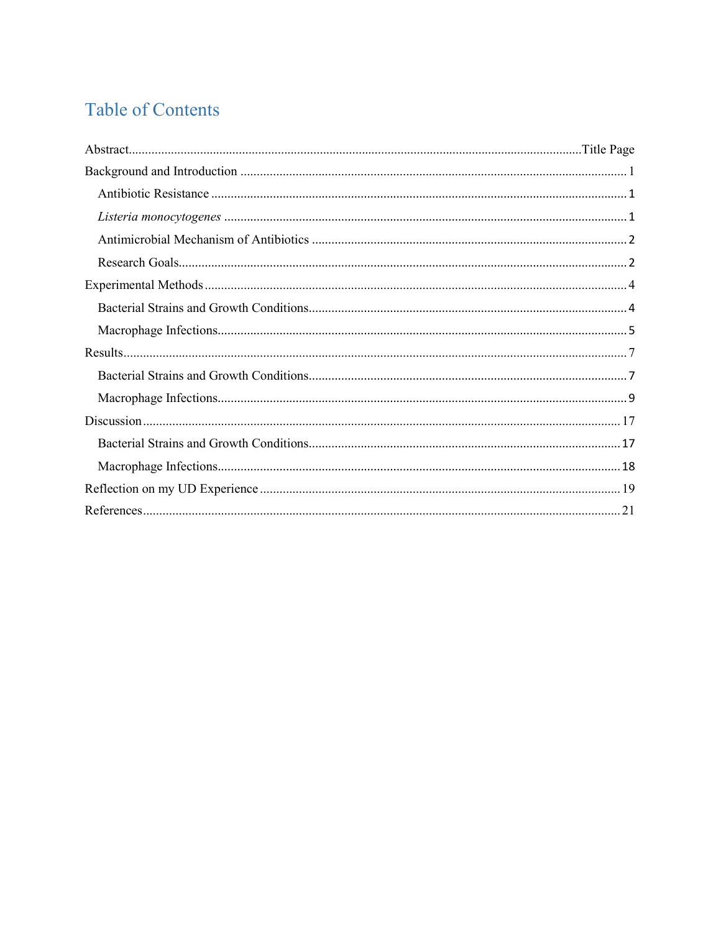# **Table of Contents**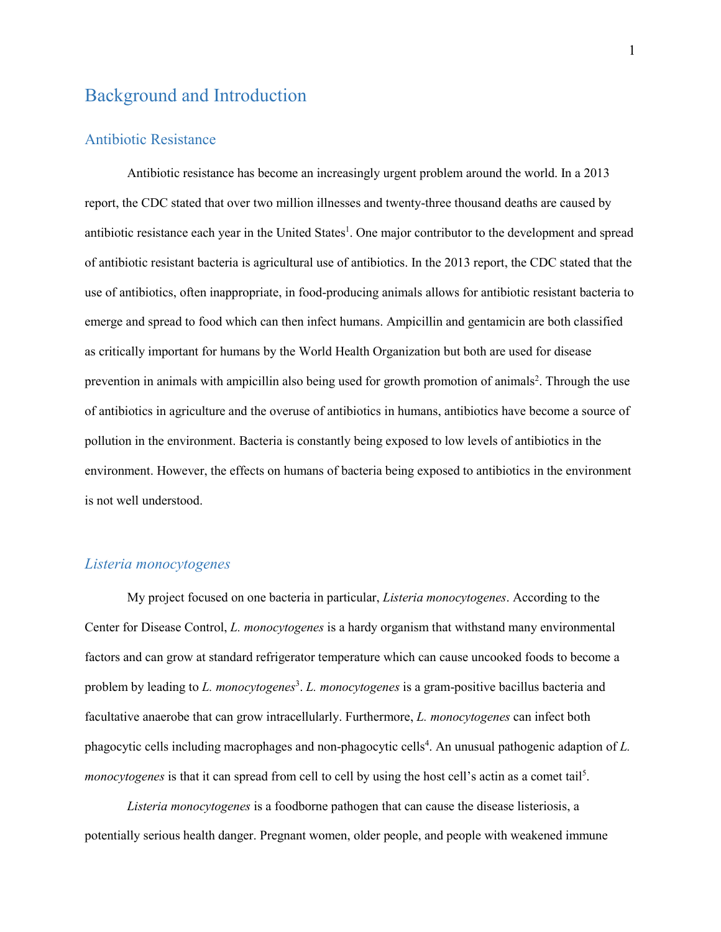# <span id="page-4-0"></span>Background and Introduction

#### <span id="page-4-1"></span>Antibiotic Resistance

Antibiotic resistance has become an increasingly urgent problem around the world. In a 2013 report, the CDC stated that over two million illnesses and twenty-three thousand deaths are caused by antibiotic resistance each year in the United States<sup>1</sup>. One major contributor to the development and spread of antibiotic resistant bacteria is agricultural use of antibiotics. In the 2013 report, the CDC stated that the use of antibiotics, often inappropriate, in food-producing animals allows for antibiotic resistant bacteria to emerge and spread to food which can then infect humans. Ampicillin and gentamicin are both classified as critically important for humans by the World Health Organization but both are used for disease prevention in animals with ampicillin also being used for growth promotion of animals<sup>2</sup>. Through the use of antibiotics in agriculture and the overuse of antibiotics in humans, antibiotics have become a source of pollution in the environment. Bacteria is constantly being exposed to low levels of antibiotics in the environment. However, the effects on humans of bacteria being exposed to antibiotics in the environment is not well understood.

#### <span id="page-4-2"></span>*Listeria monocytogenes*

My project focused on one bacteria in particular, *Listeria monocytogenes*. According to the Center for Disease Control, *L. monocytogenes* is a hardy organism that withstand many environmental factors and can grow at standard refrigerator temperature which can cause uncooked foods to become a problem by leading to *L. monocytogenes<sup>3</sup>. L. monocytogenes* is a gram-positive bacillus bacteria and facultative anaerobe that can grow intracellularly. Furthermore, *L. monocytogenes* can infect both phagocytic cells including macrophages and non-phagocytic cells<sup>4</sup>. An unusual pathogenic adaption of *L*. *monocytogenes* is that it can spread from cell to cell by using the host cell's actin as a comet tail<sup>5</sup>.

*Listeria monocytogenes* is a foodborne pathogen that can cause the disease listeriosis, a potentially serious health danger. Pregnant women, older people, and people with weakened immune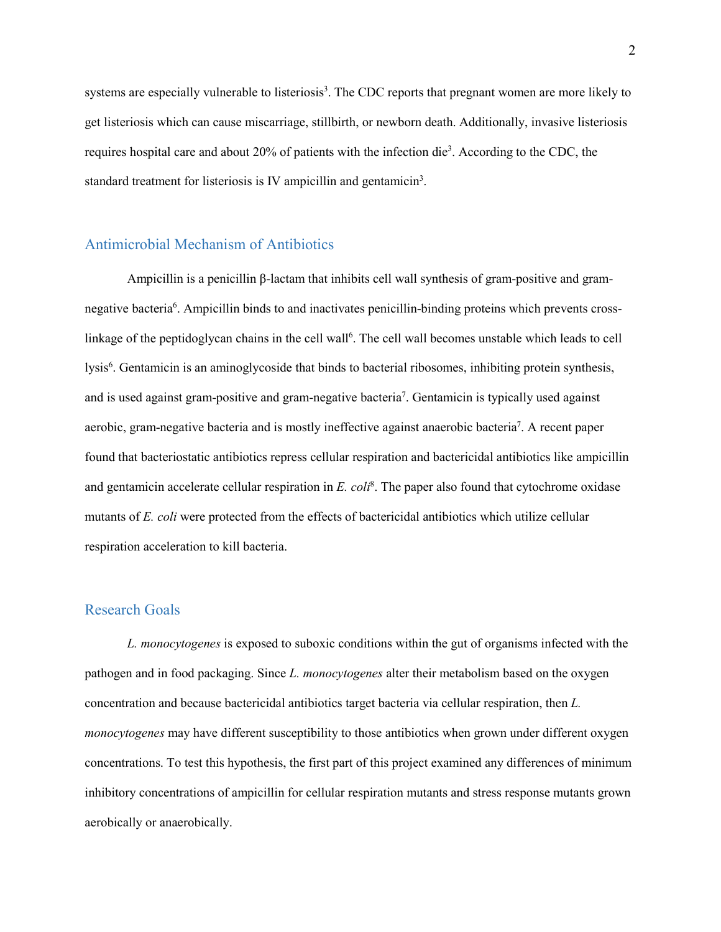systems are especially vulnerable to listeriosis<sup>3</sup>. The CDC reports that pregnant women are more likely to get listeriosis which can cause miscarriage, stillbirth, or newborn death. Additionally, invasive listeriosis requires hospital care and about 20% of patients with the infection die<sup>3</sup>. According to the CDC, the standard treatment for listeriosis is IV ampicillin and gentamicin<sup>3</sup>.

#### <span id="page-5-0"></span>Antimicrobial Mechanism of Antibiotics

Ampicillin is a penicillin β-lactam that inhibits cell wall synthesis of gram-positive and gramnegative bacteria<sup>6</sup>. Ampicillin binds to and inactivates penicillin-binding proteins which prevents crosslinkage of the peptidoglycan chains in the cell wall<sup>6</sup>. The cell wall becomes unstable which leads to cell lysis<sup>6</sup>. Gentamicin is an aminoglycoside that binds to bacterial ribosomes, inhibiting protein synthesis, and is used against gram-positive and gram-negative bacteria<sup>7</sup>. Gentamicin is typically used against aerobic, gram-negative bacteria and is mostly ineffective against anaerobic bacteria<sup>7</sup>. A recent paper found that bacteriostatic antibiotics repress cellular respiration and bactericidal antibiotics like ampicillin and gentamicin accelerate cellular respiration in *E. coli*<sup>8</sup> . The paper also found that cytochrome oxidase mutants of *E. coli* were protected from the effects of bactericidal antibiotics which utilize cellular respiration acceleration to kill bacteria.

#### <span id="page-5-1"></span>Research Goals

*L. monocytogenes* is exposed to suboxic conditions within the gut of organisms infected with the pathogen and in food packaging. Since *L. monocytogenes* alter their metabolism based on the oxygen concentration and because bactericidal antibiotics target bacteria via cellular respiration, then *L. monocytogenes* may have different susceptibility to those antibiotics when grown under different oxygen concentrations. To test this hypothesis, the first part of this project examined any differences of minimum inhibitory concentrations of ampicillin for cellular respiration mutants and stress response mutants grown aerobically or anaerobically.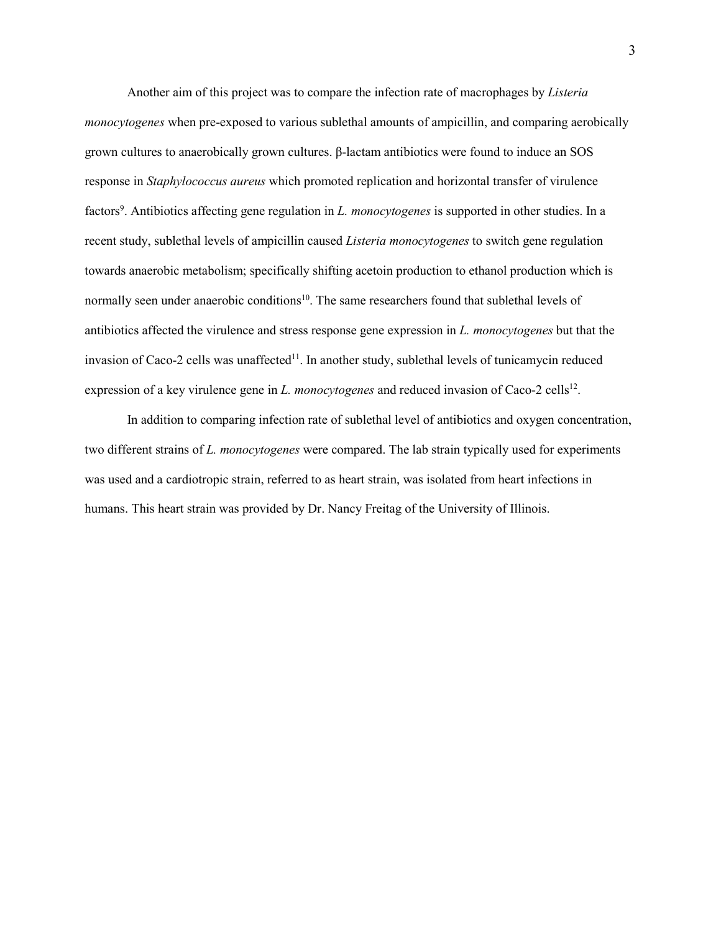Another aim of this project was to compare the infection rate of macrophages by *Listeria monocytogenes* when pre-exposed to various sublethal amounts of ampicillin, and comparing aerobically grown cultures to anaerobically grown cultures. β-lactam antibiotics were found to induce an SOS response in *Staphylococcus aureus* which promoted replication and horizontal transfer of virulence factors<sup>9</sup>. Antibiotics affecting gene regulation in *L. monocytogenes* is supported in other studies. In a recent study, sublethal levels of ampicillin caused *Listeria monocytogenes* to switch gene regulation towards anaerobic metabolism; specifically shifting acetoin production to ethanol production which is normally seen under anaerobic conditions<sup>10</sup>. The same researchers found that sublethal levels of antibiotics affected the virulence and stress response gene expression in *L. monocytogenes* but that the invasion of Caco-2 cells was unaffected<sup>11</sup>. In another study, sublethal levels of tunicamycin reduced expression of a key virulence gene in *L. monocytogenes* and reduced invasion of Caco-2 cells<sup>12</sup>.

In addition to comparing infection rate of sublethal level of antibiotics and oxygen concentration, two different strains of *L. monocytogenes* were compared. The lab strain typically used for experiments was used and a cardiotropic strain, referred to as heart strain, was isolated from heart infections in humans. This heart strain was provided by Dr. Nancy Freitag of the University of Illinois.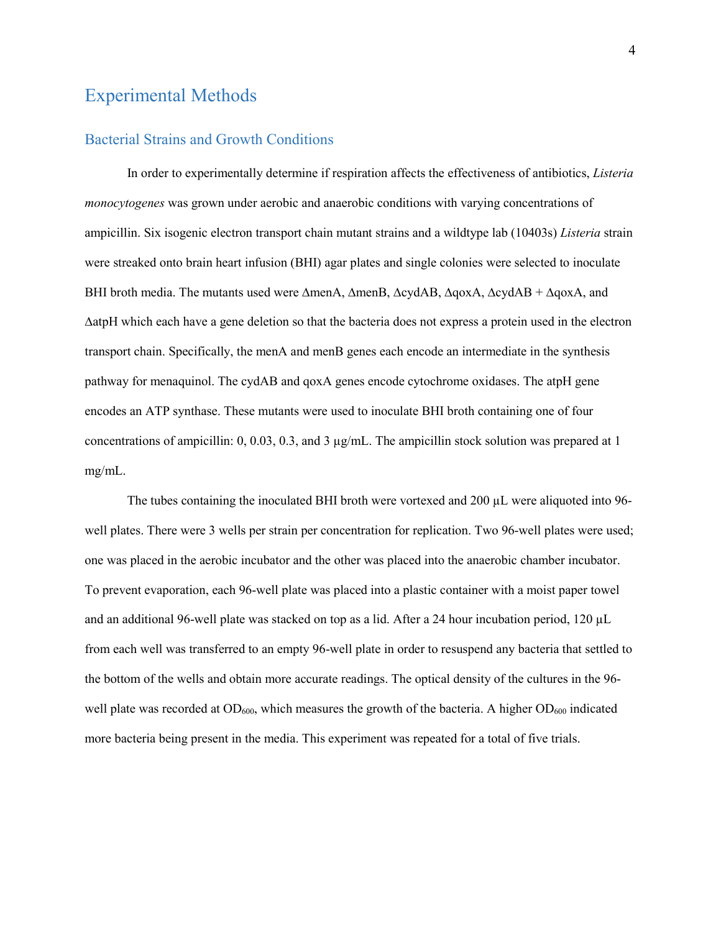# <span id="page-7-0"></span>Experimental Methods

#### <span id="page-7-1"></span>Bacterial Strains and Growth Conditions

In order to experimentally determine if respiration affects the effectiveness of antibiotics, *Listeria monocytogenes* was grown under aerobic and anaerobic conditions with varying concentrations of ampicillin. Six isogenic electron transport chain mutant strains and a wildtype lab (10403s) *Listeria* strain were streaked onto brain heart infusion (BHI) agar plates and single colonies were selected to inoculate BHI broth media. The mutants used were ∆menA, ∆menB, ∆cydAB, ∆qoxA, ∆cydAB + ∆qoxA, and ∆atpH which each have a gene deletion so that the bacteria does not express a protein used in the electron transport chain. Specifically, the menA and menB genes each encode an intermediate in the synthesis pathway for menaquinol. The cydAB and qoxA genes encode cytochrome oxidases. The atpH gene encodes an ATP synthase. These mutants were used to inoculate BHI broth containing one of four concentrations of ampicillin:  $0, 0.03, 0.3,$  and  $3 \mu g/mL$ . The ampicillin stock solution was prepared at 1 mg/mL.

The tubes containing the inoculated BHI broth were vortexed and 200 µL were aliquoted into 96well plates. There were 3 wells per strain per concentration for replication. Two 96-well plates were used; one was placed in the aerobic incubator and the other was placed into the anaerobic chamber incubator. To prevent evaporation, each 96-well plate was placed into a plastic container with a moist paper towel and an additional 96-well plate was stacked on top as a lid. After a 24 hour incubation period, 120 µL from each well was transferred to an empty 96-well plate in order to resuspend any bacteria that settled to the bottom of the wells and obtain more accurate readings. The optical density of the cultures in the 96 well plate was recorded at  $OD_{600}$ , which measures the growth of the bacteria. A higher  $OD_{600}$  indicated more bacteria being present in the media. This experiment was repeated for a total of five trials.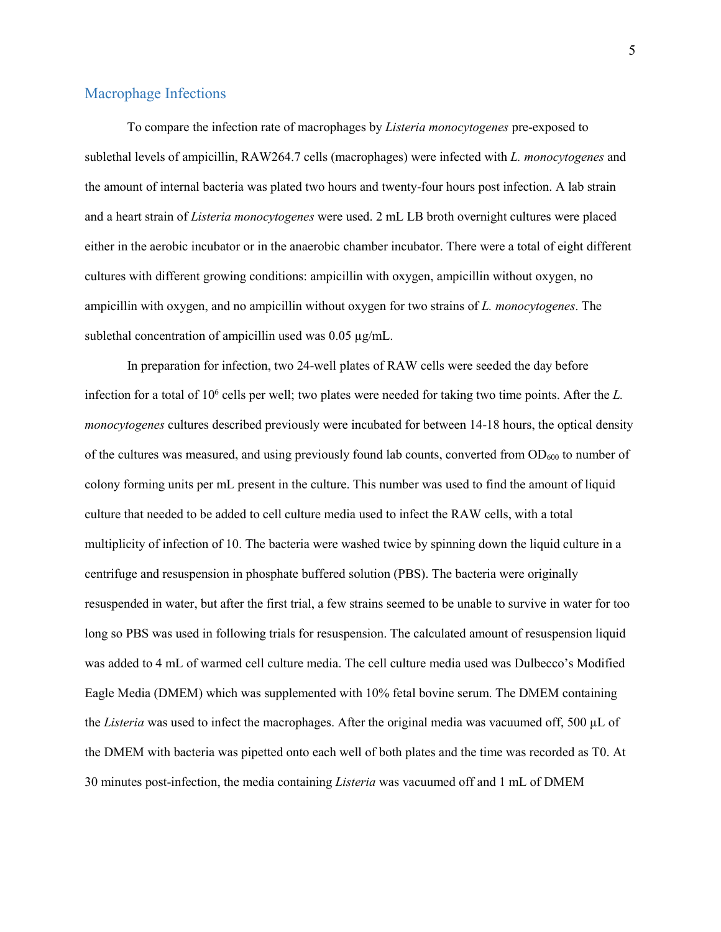#### <span id="page-8-0"></span>Macrophage Infections

To compare the infection rate of macrophages by *Listeria monocytogenes* pre-exposed to sublethal levels of ampicillin, RAW264.7 cells (macrophages) were infected with *L. monocytogenes* and the amount of internal bacteria was plated two hours and twenty-four hours post infection. A lab strain and a heart strain of *Listeria monocytogenes* were used. 2 mL LB broth overnight cultures were placed either in the aerobic incubator or in the anaerobic chamber incubator. There were a total of eight different cultures with different growing conditions: ampicillin with oxygen, ampicillin without oxygen, no ampicillin with oxygen, and no ampicillin without oxygen for two strains of *L. monocytogenes*. The sublethal concentration of ampicillin used was 0.05  $\mu$ g/mL.

In preparation for infection, two 24-well plates of RAW cells were seeded the day before infection for a total of 106 cells per well; two plates were needed for taking two time points. After the *L. monocytogenes* cultures described previously were incubated for between 14-18 hours, the optical density of the cultures was measured, and using previously found lab counts, converted from  $OD_{600}$  to number of colony forming units per mL present in the culture. This number was used to find the amount of liquid culture that needed to be added to cell culture media used to infect the RAW cells, with a total multiplicity of infection of 10. The bacteria were washed twice by spinning down the liquid culture in a centrifuge and resuspension in phosphate buffered solution (PBS). The bacteria were originally resuspended in water, but after the first trial, a few strains seemed to be unable to survive in water for too long so PBS was used in following trials for resuspension. The calculated amount of resuspension liquid was added to 4 mL of warmed cell culture media. The cell culture media used was Dulbecco's Modified Eagle Media (DMEM) which was supplemented with 10% fetal bovine serum. The DMEM containing the *Listeria* was used to infect the macrophages. After the original media was vacuumed off, 500 µL of the DMEM with bacteria was pipetted onto each well of both plates and the time was recorded as T0. At 30 minutes post-infection, the media containing *Listeria* was vacuumed off and 1 mL of DMEM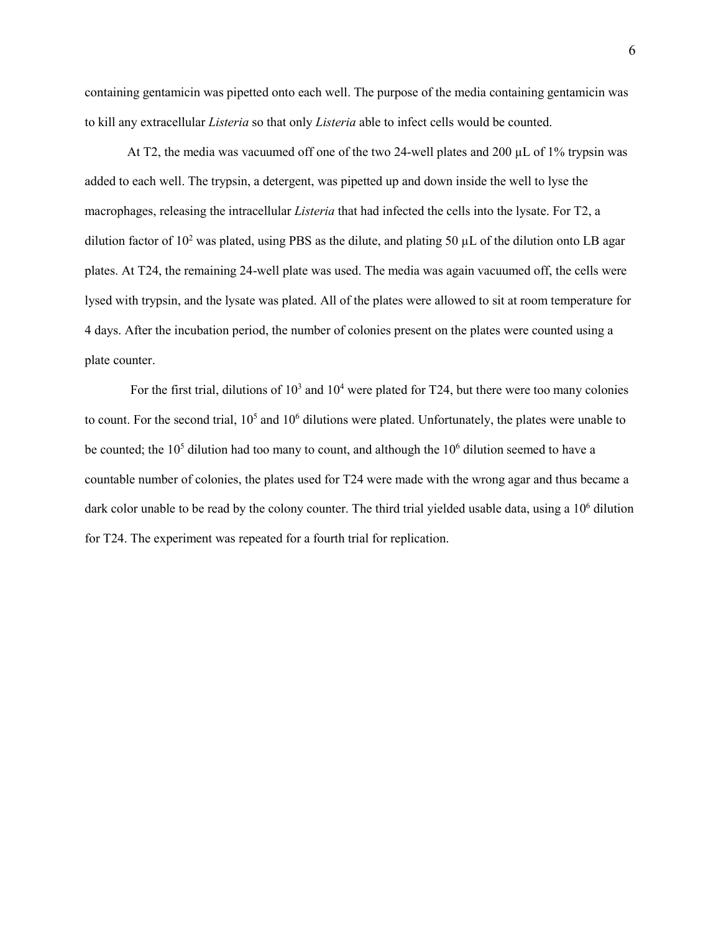containing gentamicin was pipetted onto each well. The purpose of the media containing gentamicin was to kill any extracellular *Listeria* so that only *Listeria* able to infect cells would be counted.

At T2, the media was vacuumed off one of the two 24-well plates and 200 µL of 1% trypsin was added to each well. The trypsin, a detergent, was pipetted up and down inside the well to lyse the macrophages, releasing the intracellular *Listeria* that had infected the cells into the lysate. For T2, a dilution factor of  $10^2$  was plated, using PBS as the dilute, and plating 50  $\mu$ L of the dilution onto LB agar plates. At T24, the remaining 24-well plate was used. The media was again vacuumed off, the cells were lysed with trypsin, and the lysate was plated. All of the plates were allowed to sit at room temperature for 4 days. After the incubation period, the number of colonies present on the plates were counted using a plate counter.

For the first trial, dilutions of  $10<sup>3</sup>$  and  $10<sup>4</sup>$  were plated for T24, but there were too many colonies to count. For the second trial,  $10<sup>5</sup>$  and  $10<sup>6</sup>$  dilutions were plated. Unfortunately, the plates were unable to be counted; the  $10<sup>5</sup>$  dilution had too many to count, and although the  $10<sup>6</sup>$  dilution seemed to have a countable number of colonies, the plates used for T24 were made with the wrong agar and thus became a dark color unable to be read by the colony counter. The third trial yielded usable data, using a 10<sup>6</sup> dilution for T24. The experiment was repeated for a fourth trial for replication.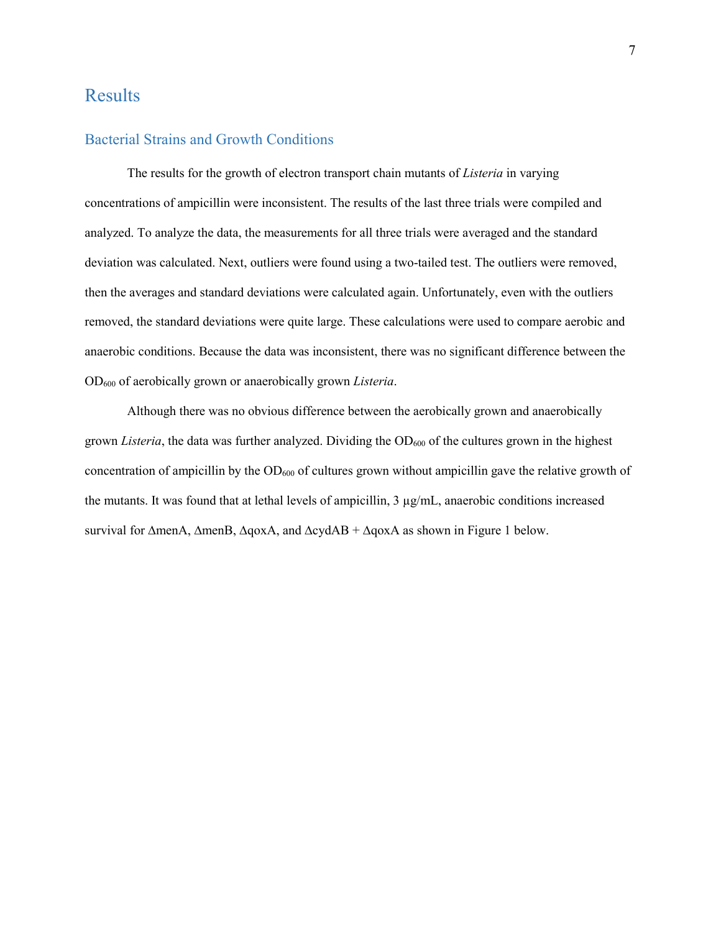# <span id="page-10-0"></span>Results

### <span id="page-10-1"></span>Bacterial Strains and Growth Conditions

The results for the growth of electron transport chain mutants of *Listeria* in varying concentrations of ampicillin were inconsistent. The results of the last three trials were compiled and analyzed. To analyze the data, the measurements for all three trials were averaged and the standard deviation was calculated. Next, outliers were found using a two-tailed test. The outliers were removed, then the averages and standard deviations were calculated again. Unfortunately, even with the outliers removed, the standard deviations were quite large. These calculations were used to compare aerobic and anaerobic conditions. Because the data was inconsistent, there was no significant difference between the OD600 of aerobically grown or anaerobically grown *Listeria*.

Although there was no obvious difference between the aerobically grown and anaerobically grown *Listeria*, the data was further analyzed. Dividing the  $OD<sub>600</sub>$  of the cultures grown in the highest concentration of ampicillin by the  $OD_{600}$  of cultures grown without ampicillin gave the relative growth of the mutants. It was found that at lethal levels of ampicillin, 3 µg/mL, anaerobic conditions increased survival for ∆menA, ∆menB, ∆qoxA, and ∆cydAB + ∆qoxA as shown in Figure 1 below.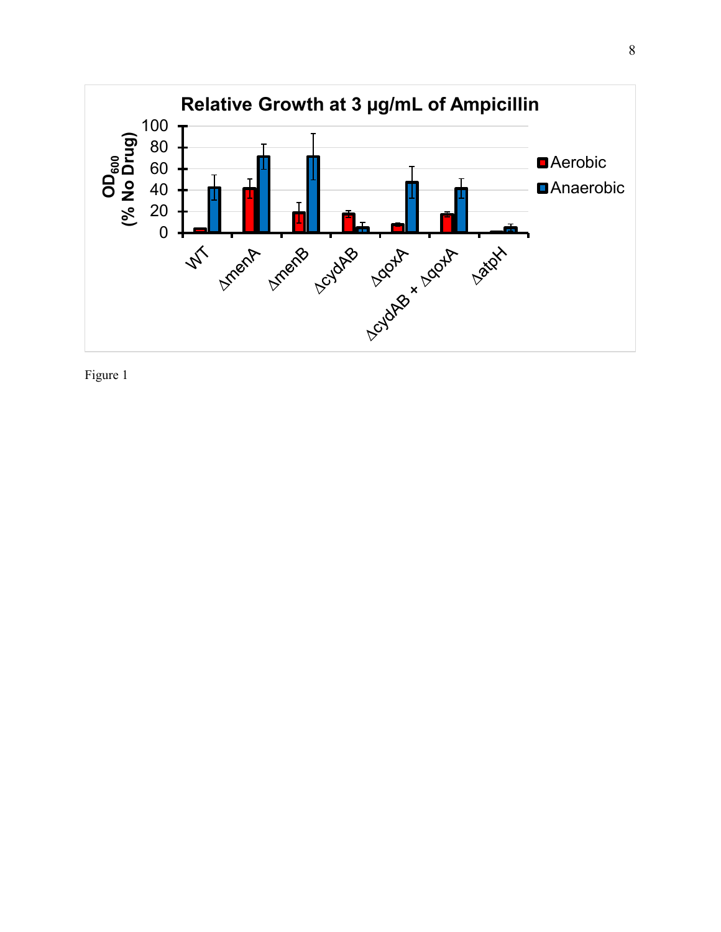

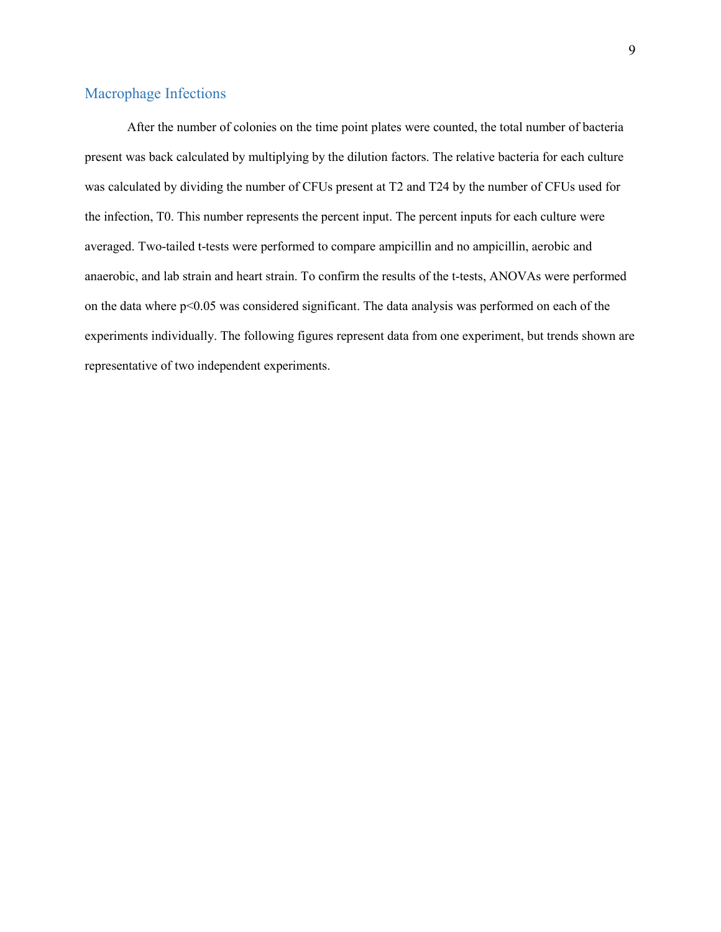## <span id="page-12-0"></span>Macrophage Infections

After the number of colonies on the time point plates were counted, the total number of bacteria present was back calculated by multiplying by the dilution factors. The relative bacteria for each culture was calculated by dividing the number of CFUs present at T2 and T24 by the number of CFUs used for the infection, T0. This number represents the percent input. The percent inputs for each culture were averaged. Two-tailed t-tests were performed to compare ampicillin and no ampicillin, aerobic and anaerobic, and lab strain and heart strain. To confirm the results of the t-tests, ANOVAs were performed on the data where p<0.05 was considered significant. The data analysis was performed on each of the experiments individually. The following figures represent data from one experiment, but trends shown are representative of two independent experiments.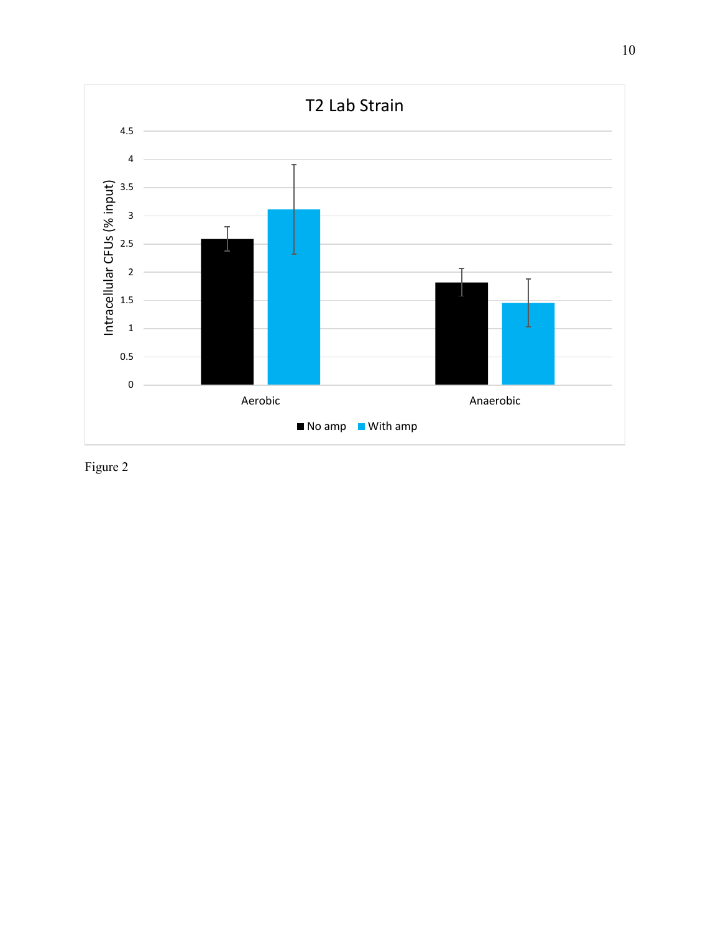

Figure 2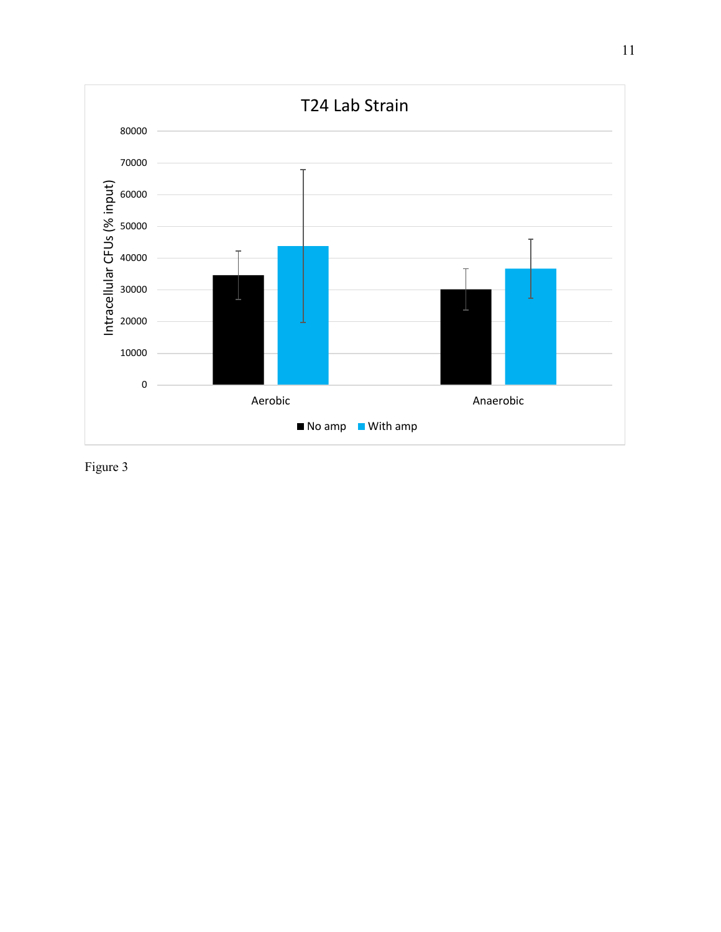

Figure 3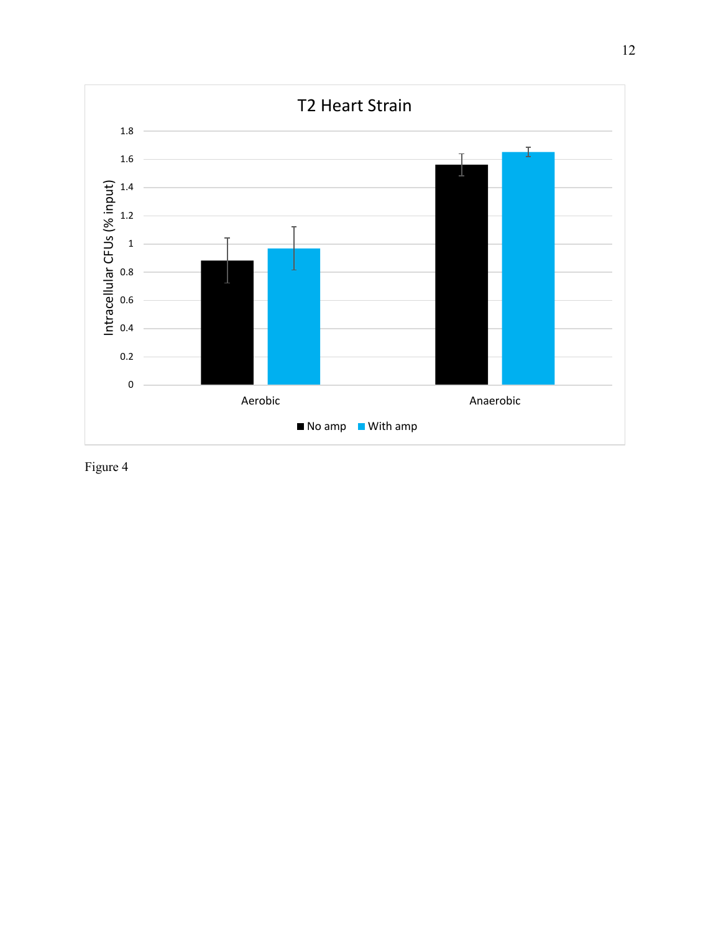

Figure 4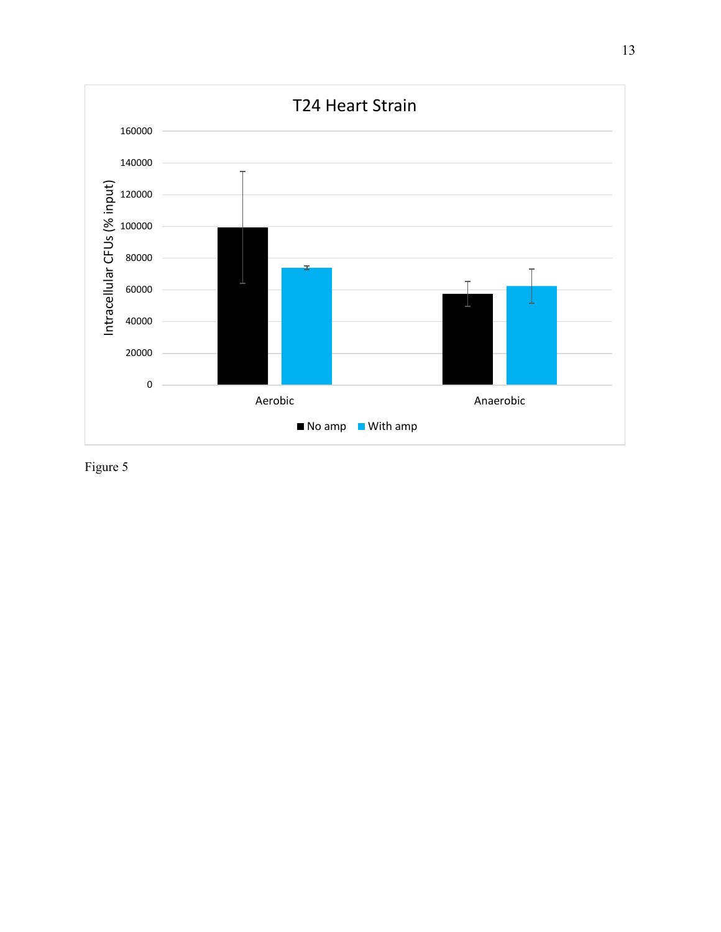

Figure 5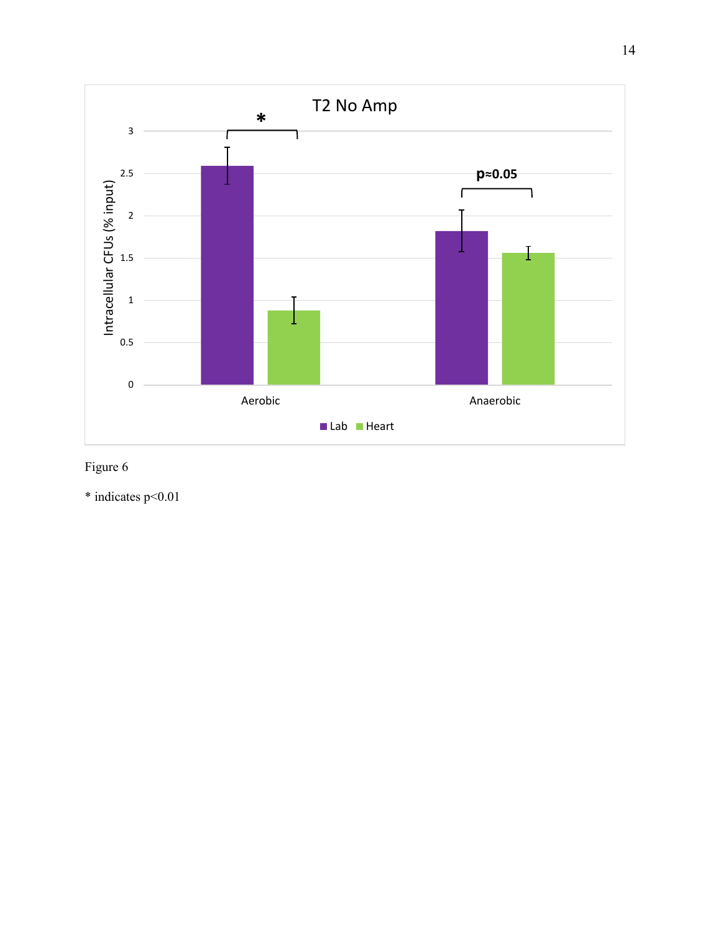

# Figure 6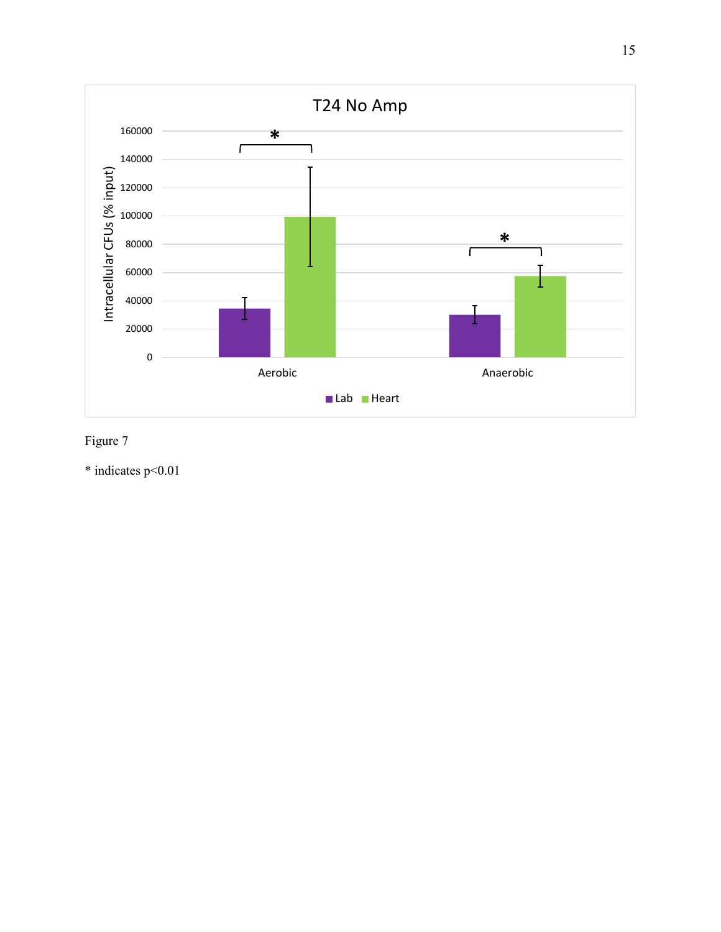

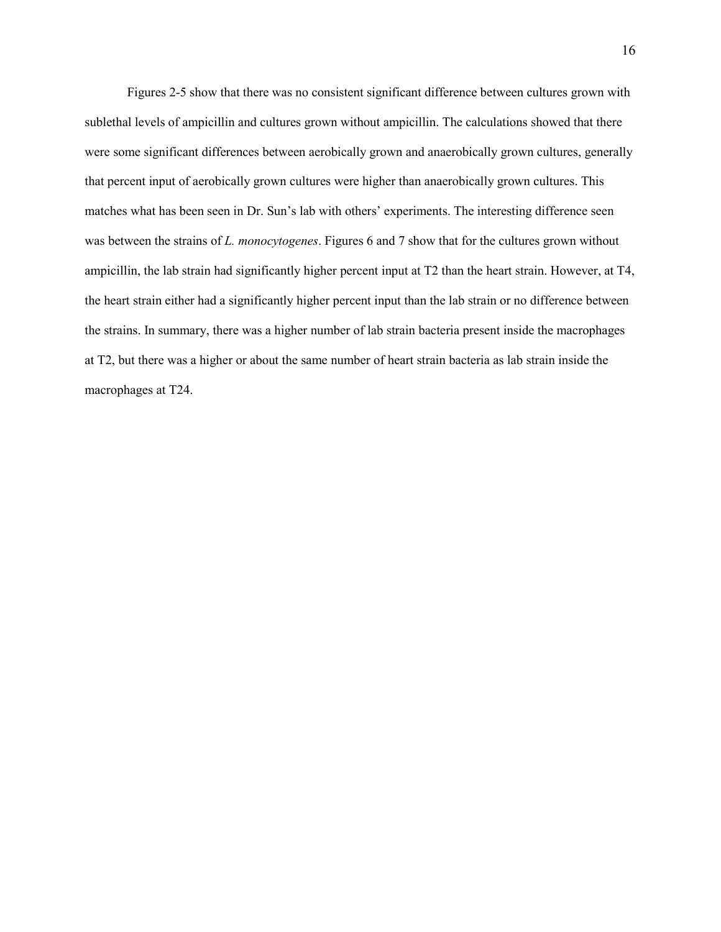Figures 2-5 show that there was no consistent significant difference between cultures grown with sublethal levels of ampicillin and cultures grown without ampicillin. The calculations showed that there were some significant differences between aerobically grown and anaerobically grown cultures, generally that percent input of aerobically grown cultures were higher than anaerobically grown cultures. This matches what has been seen in Dr. Sun's lab with others' experiments. The interesting difference seen was between the strains of *L. monocytogenes*. Figures 6 and 7 show that for the cultures grown without ampicillin, the lab strain had significantly higher percent input at T2 than the heart strain. However, at T4, the heart strain either had a significantly higher percent input than the lab strain or no difference between the strains. In summary, there was a higher number of lab strain bacteria present inside the macrophages at T2, but there was a higher or about the same number of heart strain bacteria as lab strain inside the macrophages at T24.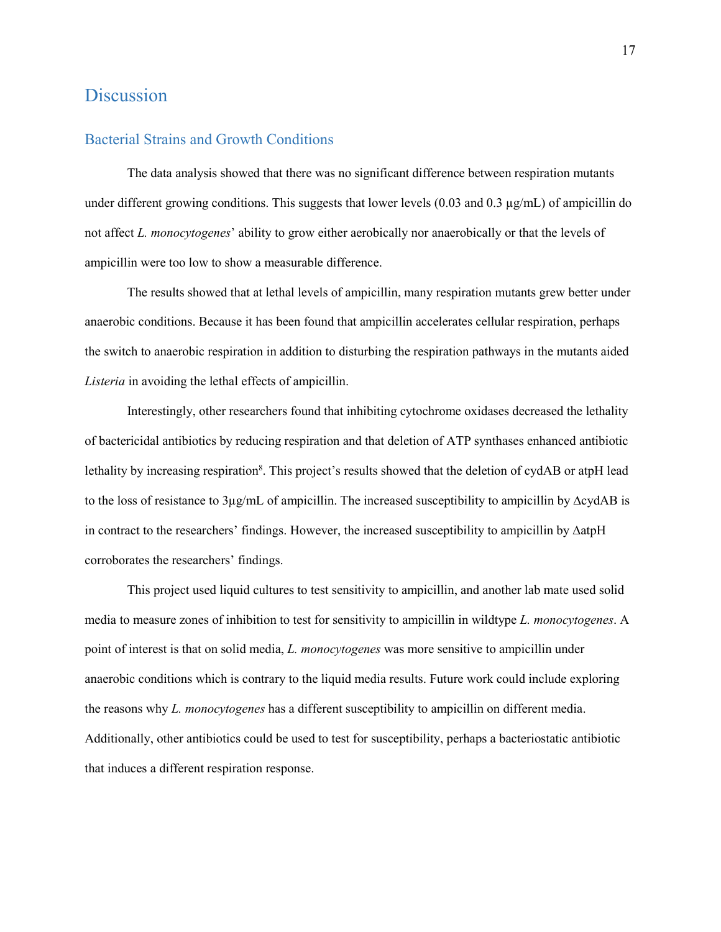# <span id="page-20-0"></span>**Discussion**

#### <span id="page-20-1"></span>Bacterial Strains and Growth Conditions

The data analysis showed that there was no significant difference between respiration mutants under different growing conditions. This suggests that lower levels  $(0.03 \text{ and } 0.3 \text{ µg/mL})$  of ampicillin do not affect *L. monocytogenes*' ability to grow either aerobically nor anaerobically or that the levels of ampicillin were too low to show a measurable difference.

The results showed that at lethal levels of ampicillin, many respiration mutants grew better under anaerobic conditions. Because it has been found that ampicillin accelerates cellular respiration, perhaps the switch to anaerobic respiration in addition to disturbing the respiration pathways in the mutants aided *Listeria* in avoiding the lethal effects of ampicillin.

Interestingly, other researchers found that inhibiting cytochrome oxidases decreased the lethality of bactericidal antibiotics by reducing respiration and that deletion of ATP synthases enhanced antibiotic lethality by increasing respiration<sup>8</sup>. This project's results showed that the deletion of cydAB or atpH lead to the loss of resistance to 3µg/mL of ampicillin. The increased susceptibility to ampicillin by ∆cydAB is in contract to the researchers' findings. However, the increased susceptibility to ampicillin by ∆atpH corroborates the researchers' findings.

This project used liquid cultures to test sensitivity to ampicillin, and another lab mate used solid media to measure zones of inhibition to test for sensitivity to ampicillin in wildtype *L. monocytogenes*. A point of interest is that on solid media, *L. monocytogenes* was more sensitive to ampicillin under anaerobic conditions which is contrary to the liquid media results. Future work could include exploring the reasons why *L. monocytogenes* has a different susceptibility to ampicillin on different media. Additionally, other antibiotics could be used to test for susceptibility, perhaps a bacteriostatic antibiotic that induces a different respiration response.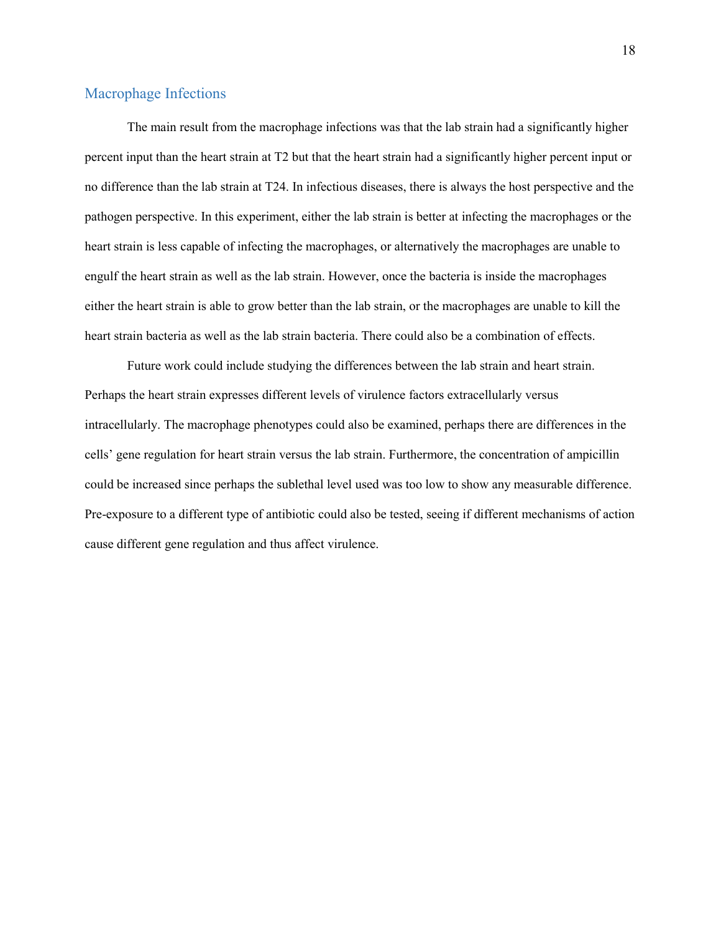#### <span id="page-21-0"></span>Macrophage Infections

The main result from the macrophage infections was that the lab strain had a significantly higher percent input than the heart strain at T2 but that the heart strain had a significantly higher percent input or no difference than the lab strain at T24. In infectious diseases, there is always the host perspective and the pathogen perspective. In this experiment, either the lab strain is better at infecting the macrophages or the heart strain is less capable of infecting the macrophages, or alternatively the macrophages are unable to engulf the heart strain as well as the lab strain. However, once the bacteria is inside the macrophages either the heart strain is able to grow better than the lab strain, or the macrophages are unable to kill the heart strain bacteria as well as the lab strain bacteria. There could also be a combination of effects.

Future work could include studying the differences between the lab strain and heart strain. Perhaps the heart strain expresses different levels of virulence factors extracellularly versus intracellularly. The macrophage phenotypes could also be examined, perhaps there are differences in the cells' gene regulation for heart strain versus the lab strain. Furthermore, the concentration of ampicillin could be increased since perhaps the sublethal level used was too low to show any measurable difference. Pre-exposure to a different type of antibiotic could also be tested, seeing if different mechanisms of action cause different gene regulation and thus affect virulence.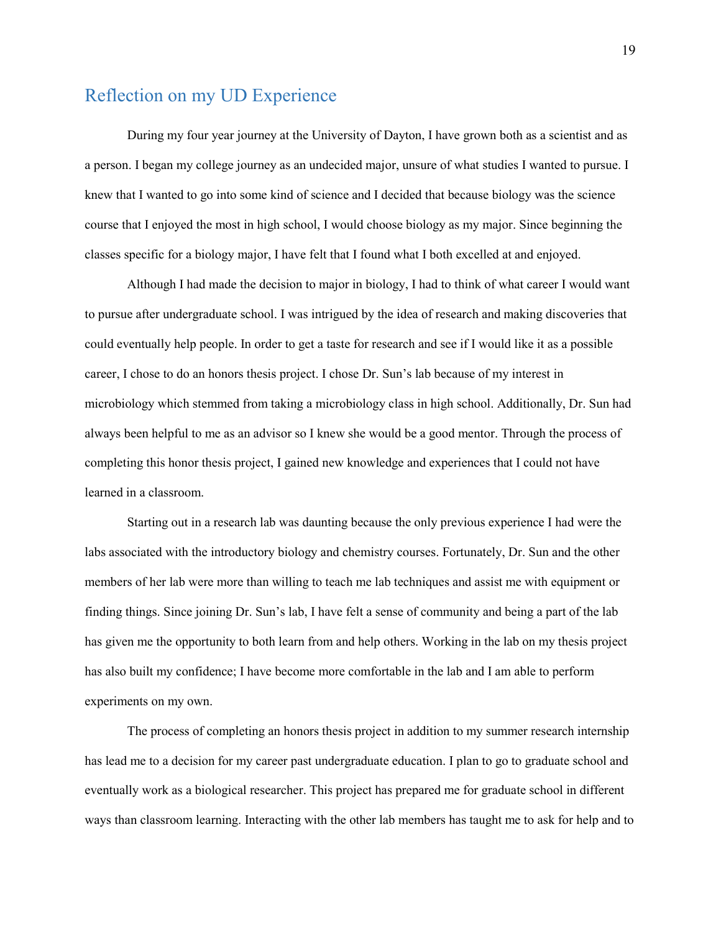# <span id="page-22-0"></span>Reflection on my UD Experience

During my four year journey at the University of Dayton, I have grown both as a scientist and as a person. I began my college journey as an undecided major, unsure of what studies I wanted to pursue. I knew that I wanted to go into some kind of science and I decided that because biology was the science course that I enjoyed the most in high school, I would choose biology as my major. Since beginning the classes specific for a biology major, I have felt that I found what I both excelled at and enjoyed.

Although I had made the decision to major in biology, I had to think of what career I would want to pursue after undergraduate school. I was intrigued by the idea of research and making discoveries that could eventually help people. In order to get a taste for research and see if I would like it as a possible career, I chose to do an honors thesis project. I chose Dr. Sun's lab because of my interest in microbiology which stemmed from taking a microbiology class in high school. Additionally, Dr. Sun had always been helpful to me as an advisor so I knew she would be a good mentor. Through the process of completing this honor thesis project, I gained new knowledge and experiences that I could not have learned in a classroom.

Starting out in a research lab was daunting because the only previous experience I had were the labs associated with the introductory biology and chemistry courses. Fortunately, Dr. Sun and the other members of her lab were more than willing to teach me lab techniques and assist me with equipment or finding things. Since joining Dr. Sun's lab, I have felt a sense of community and being a part of the lab has given me the opportunity to both learn from and help others. Working in the lab on my thesis project has also built my confidence; I have become more comfortable in the lab and I am able to perform experiments on my own.

The process of completing an honors thesis project in addition to my summer research internship has lead me to a decision for my career past undergraduate education. I plan to go to graduate school and eventually work as a biological researcher. This project has prepared me for graduate school in different ways than classroom learning. Interacting with the other lab members has taught me to ask for help and to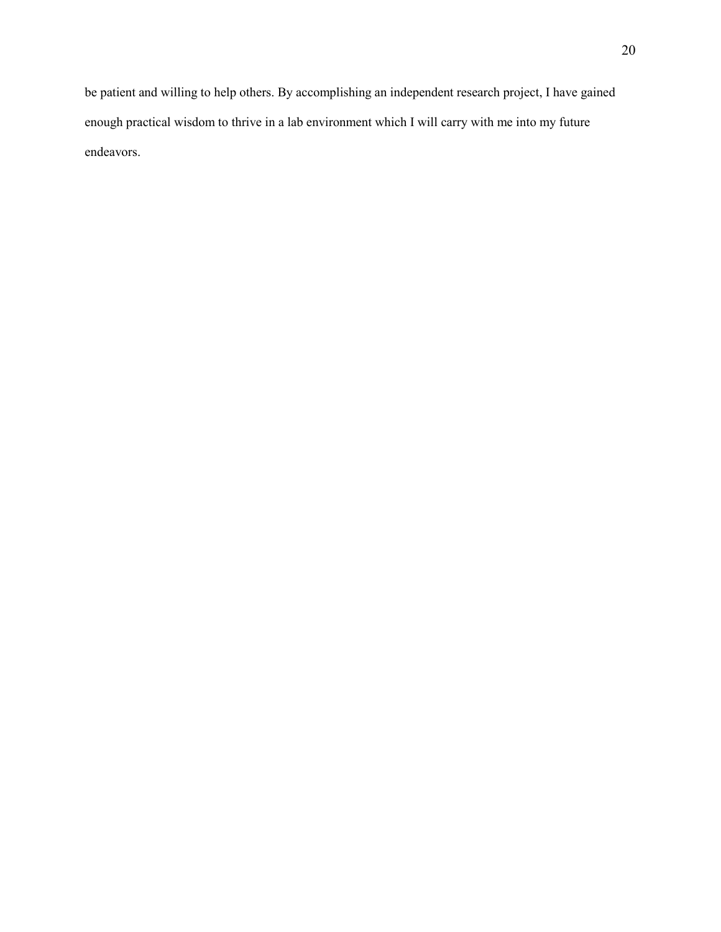be patient and willing to help others. By accomplishing an independent research project, I have gained enough practical wisdom to thrive in a lab environment which I will carry with me into my future endeavors.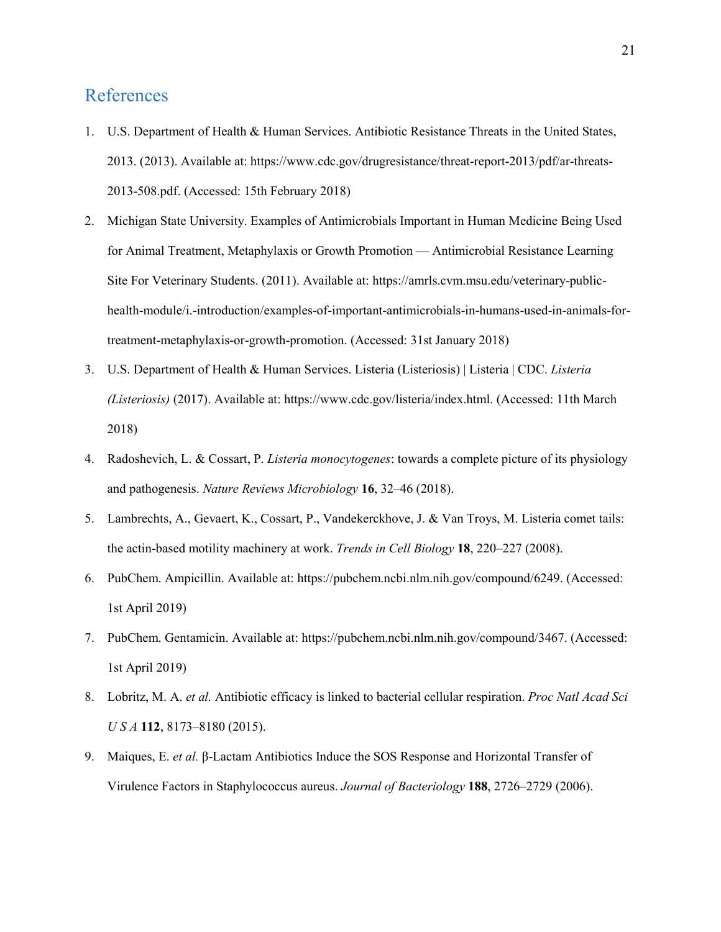# <span id="page-24-0"></span>References

- 1. U.S. Department of Health & Human Services. Antibiotic Resistance Threats in the United States, 2013. (2013). Available at: https://www.cdc.gov/drugresistance/threat-report-2013/pdf/ar-threats-2013-508.pdf. (Accessed: 15th February 2018)
- 2. Michigan State University. Examples of Antimicrobials Important in Human Medicine Being Used for Animal Treatment, Metaphylaxis or Growth Promotion — Antimicrobial Resistance Learning Site For Veterinary Students. (2011). Available at: https://amrls.cvm.msu.edu/veterinary-publichealth-module/i.-introduction/examples-of-important-antimicrobials-in-humans-used-in-animals-fortreatment-metaphylaxis-or-growth-promotion. (Accessed: 31st January 2018)
- 3. U.S. Department of Health & Human Services. Listeria (Listeriosis) | Listeria | CDC. *Listeria (Listeriosis)* (2017). Available at: https://www.cdc.gov/listeria/index.html. (Accessed: 11th March 2018)
- 4. Radoshevich, L. & Cossart, P. *Listeria monocytogenes*: towards a complete picture of its physiology and pathogenesis. *Nature Reviews Microbiology* **16**, 32–46 (2018).
- 5. Lambrechts, A., Gevaert, K., Cossart, P., Vandekerckhove, J. & Van Troys, M. Listeria comet tails: the actin-based motility machinery at work. *Trends in Cell Biology* **18**, 220–227 (2008).
- 6. PubChem. Ampicillin. Available at: https://pubchem.ncbi.nlm.nih.gov/compound/6249. (Accessed: 1st April 2019)
- 7. PubChem. Gentamicin. Available at: https://pubchem.ncbi.nlm.nih.gov/compound/3467. (Accessed: 1st April 2019)
- 8. Lobritz, M. A. *et al.* Antibiotic efficacy is linked to bacterial cellular respiration. *Proc Natl Acad Sci U S A* **112**, 8173–8180 (2015).
- 9. Maiques, E. *et al.* β-Lactam Antibiotics Induce the SOS Response and Horizontal Transfer of Virulence Factors in Staphylococcus aureus. *Journal of Bacteriology* **188**, 2726–2729 (2006).